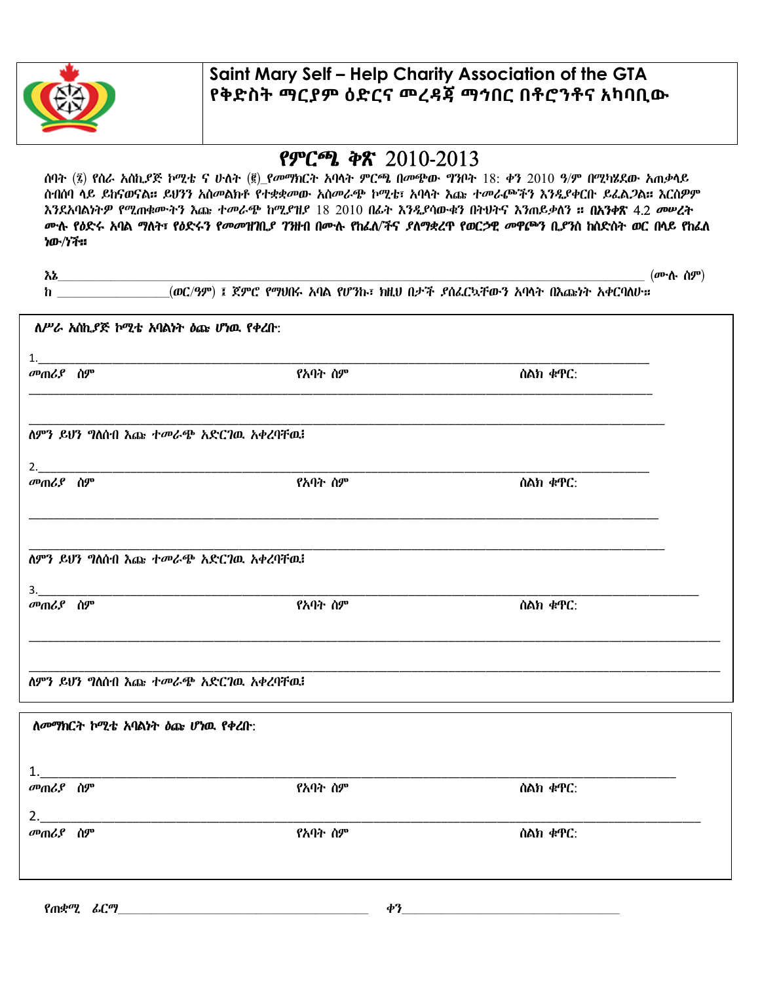

## Saint Mary Self – Help Charity Association of the GTA የቅድስት ማርያም ዕድርና መረዳጃ ማኅበር በቶሮንቶና አካባቢው

## የምርጫ ቅጽ 2010-2013

ሰባት (፯) የስራ አስኪያጅ ኮሚቴ ና ሁለት (፪)\_የመማክርት አባላት ምርጫ በመጭው ግንቦት 18: ቀን 2010 ዓ/ም በሚካሄደው አጠቃላይ ስብሰባ ላይ ይከናወናል። ይህንን አስመልክቶ የተቋቋመው አስመራጭ ኮሚቴ፣ አባላት እጩ ተመራጮችን እንዲያቀርቡ ይፈልጋል። እርስዎም እንደአባልነትዎ የሚጠቁሙትን እጩ ተመራጭ ከሚያዝያ 18 2010 በፊት እንዲያሳውቁን በትህትና እንጠይቃለን ። በአንቀጽ 4.2 መሠረት ሙሉ የዕድሩ አባል ማለት፣ የዕድሩን የመመዝገቢያ ገንዘብ በሙሉ የከፈለ/ችና ያለማቋረጥ የወርኃዊ መዋጮን ቢያንስ ከስድስት ወር በላይ የከፈለ ነው/ነች።

| $\lambda$ ) $\lambda$ |                                                                     | $(\boldsymbol{\theta}^{\mathbf{p}}\cdot\mathbf{\hat{h}}\cdot\mathbf{\hat{h}}\boldsymbol{\theta}^{\mathbf{p}})$ |
|-----------------------|---------------------------------------------------------------------|----------------------------------------------------------------------------------------------------------------|
|                       | h (ወር/ዓም) ፤ ጀምሮ የማህበሩ አባል የሆንኩ፣ ክዚህ በታች ያሰፌርኳቸውን አባላት በእጩነት አቀርባለሁ። |                                                                                                                |
|                       | ለሥራ አስኪያጅ ኮሚቴ አባልነት ዕጩ ሆነዉ የቀረቡ:                                    |                                                                                                                |
|                       |                                                                     |                                                                                                                |
| መጠሪያ ስም               | የአባት ስም                                                             | ሰልክ ቁዋር:                                                                                                       |
|                       |                                                                     |                                                                                                                |
|                       | ለምን ይህን ግለሰብ እጩ ተመራጭ አድርገዉ አቀረባቸዉ፧                                  |                                                                                                                |
|                       |                                                                     |                                                                                                                |
| <i>መጠሪያ</i> ሰም        | የአባት ስም                                                             | ስልክ ቁዋር:                                                                                                       |
|                       | ለምን ይህን ግለሰብ እጩ ተመራጭ አድርገዉ አቀረባቸዉ፤                                  |                                                                                                                |
|                       |                                                                     |                                                                                                                |
| መጠሪያ ስም               | 3.<br>የአባት ስም                                                       | ስልክ ቁዋር:                                                                                                       |
|                       | ለምን ይህን ግለሰብ እጩ ተመራጭ አድርገዉ አቀረባቸዉ፧                                  |                                                                                                                |
|                       | ለመማክርት ኮሚቴ አባልነት ዕጩ ሆነዉ የቀረቡ:                                       |                                                                                                                |
|                       |                                                                     |                                                                                                                |

| የአባት ስም | ስልክ ቁዋር: |  |
|---------|----------|--|
|         |          |  |
| የአባት ስም | ስልክ ቁዋር: |  |
|         |          |  |
|         |          |  |
|         |          |  |

የጠቋሚ ፊርማ